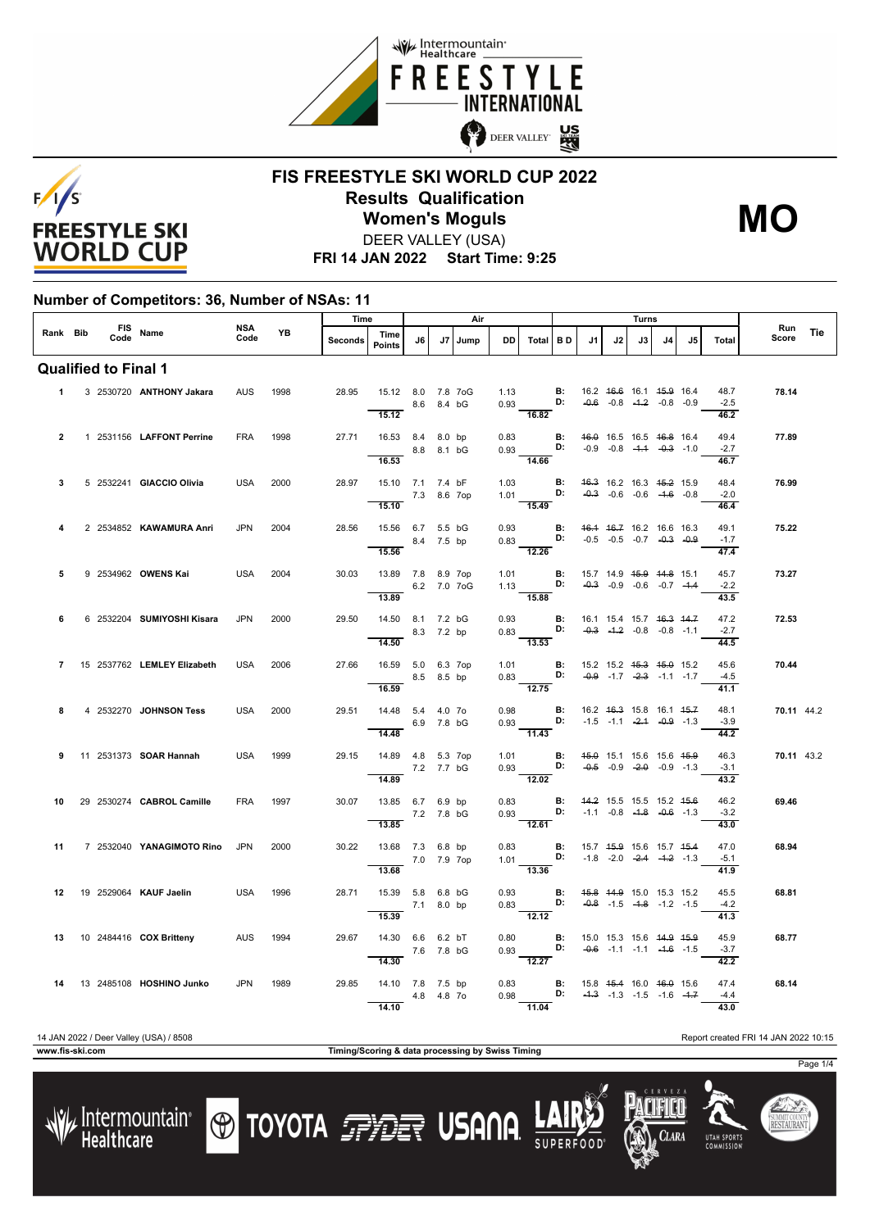



#### **FIS FREESTYLE SKI WORLD CUP 2022 Results Qualification** DEER VALLEY (USA) **Women's Moguls MO**

**FRI 14 JAN 2022 Start Time: 9:25**

#### **Number of Competitors: 36, Number of NSAs: 11**

|                |                             |  |  | NSA                            |            | Time      |         |                                                           |    | Air            |      |                         | Turns                                                                                                                  |                                               |    |    |    |                                                |                                    | Run                    |            |     |
|----------------|-----------------------------|--|--|--------------------------------|------------|-----------|---------|-----------------------------------------------------------|----|----------------|------|-------------------------|------------------------------------------------------------------------------------------------------------------------|-----------------------------------------------|----|----|----|------------------------------------------------|------------------------------------|------------------------|------------|-----|
| Rank Bib       |                             |  |  | FIS Name                       | Code       | <b>YB</b> | Seconds | Time<br><b>Points</b>                                     | J6 | J <sub>7</sub> | Jump | <b>DD</b>               | Total BD                                                                                                               |                                               | J1 | J2 | J3 | J <sub>4</sub>                                 | .15                                | Total                  | Score      | Tie |
|                | <b>Qualified to Final 1</b> |  |  |                                |            |           |         |                                                           |    |                |      |                         |                                                                                                                        |                                               |    |    |    |                                                |                                    |                        |            |     |
| $\mathbf 1$    |                             |  |  | 3 2530720 ANTHONY Jakara       | AUS        | 1998      | 28.95   | 15.12 8.0 7.8 7oG<br>8.6 8.4 bG<br>15.12                  |    |                |      |                         | 1.13 <b>B:</b> 16.2 <del>16.6</del> 16.1 <del>15.9</del> 16.4<br>16.82                                                 |                                               |    |    |    |                                                |                                    | 48.7<br>$-2.5$<br>46.2 | 78.14      |     |
| $\overline{2}$ |                             |  |  | 1 2531156 LAFFONT Perrine      | <b>FRA</b> | 1998      |         | 27.71  16.53  8.4  8.0 bp<br>8.8 8.1 bG<br>16.53          |    |                |      |                         | 0.83 <b>B:</b> 46.0 16.5 16.5 46.8 16.4<br>0.93 <b>D:</b> -0.9 -0.8 -4.4 -0.3 -1.0<br>14.66                            |                                               |    |    |    | $-0.9$ $-0.8$ $-4.4$ $-0.3$ $-1.0$             |                                    | 49.4<br>$-2.7$<br>46.7 | 77.89      |     |
| 3              |                             |  |  | 5 2532241 GIACCIO Olivia       | <b>USA</b> | 2000      | 28.97   | 15.10 7.1 7.4 bF<br>7.3 8.6 7op<br>15.10                  |    |                |      |                         | 1.03 <b>B:</b> 46.3 16.2 16.3 45.2 15.9<br>1.01 <b>D:</b> $-0.3$ -0.6 -0.6 -1.6 -0.8<br>$\overline{15.49}$             |                                               |    |    |    |                                                |                                    | 48.4<br>$-2.0$<br>46.4 | 76.99      |     |
| 4              |                             |  |  | 2 2534852 KAWAMURA Anri        | <b>JPN</b> | 2004      | 28.56   | 15.56 6.7 5.5 bG<br>8.4 7.5 bp<br>15.56                   |    |                |      |                         | 0.93 <b>B:</b> 46.4 46.7 16.2 16.6 16.3<br>0.83 <b>D:</b> -0.5 -0.5 2.7<br>$-12.26$                                    |                                               |    |    |    |                                                |                                    | 49.1<br>$-1.7$<br>47.4 | 75.22      |     |
| 5              |                             |  |  | 9 2534962 OWENS Kai            | USA        | 2004      | 30.03   | 13.89 7.8 8.9 7op<br>6.2 7.0 7oG<br>13.89                 |    |                |      | 1.01                    | 1.13 <b>D:</b> $-0.3$ $-0.9$ $-0.6$ $-0.7$ $-4.4$<br>15.88                                                             | $\blacksquare$                                |    |    |    | 15.7 14.9 <del>15.9</del> 14.8 15.1            |                                    | 45.7<br>$-2.2$<br>43.5 | 73.27      |     |
| 6              |                             |  |  | 6 2532204 SUMIYOSHI Kisara     | <b>JPN</b> | 2000      | 29.50   | 14.50 8.1 7.2 bG<br>$-$ 8.3 7.2 bp<br>14.50               |    |                |      | 0.93                    | 0.83 <b>D:</b> $-0.3$ $-1.2$ $-0.8$ $-0.8$ $-1.1$<br>$\overline{13.53}$                                                | <b>B:</b> 16.1 15.4 15.7 <del>16.3 14.7</del> |    |    |    |                                                |                                    | 47.2<br>$-2.7$<br>44.5 | 72.53      |     |
| $\overline{7}$ |                             |  |  | 15 2537762 LEMLEY Elizabeth    | <b>USA</b> | 2006      | 27.66   | 16.59 5.0 6.3 7op<br>8.5 8.5 bp<br>16.59                  |    |                |      |                         | 1.01 <b>B</b> : 15.2 15.2 <del>15.3 15.0</del> 15.2<br>0.83 <b>D:</b> -0.9 -1.7 -2.3 -1.1 -1.7<br>$\frac{1}{2.75}$     |                                               |    |    |    |                                                | $-0.9$ $-1.7$ $-2.3$ $-1.1$ $-1.7$ | 45.6<br>$-4.5$<br>41.1 | 70.44      |     |
| 8              |                             |  |  | 4 2532270 JOHNSON Tess         | USA        | 2000      |         | 29.51  14.48  5.4  4.0  70<br>6.9 7.8 bG<br>14.48         |    |                |      |                         | 0.98 <b>B:</b> 16.2 46.3 15.8 16.1 45.7<br>0.93 <b>D:</b> $-1.5$ $-1.1$ $-2.4$ $-0.9$ $-1.3$<br>$\overline{11.43}$     |                                               |    |    |    |                                                |                                    | 48.1<br>$-3.9$<br>44.2 | 70.11 44.2 |     |
| 9              |                             |  |  | 11 2531373 SOAR Hannah         | <b>USA</b> | 1999      | 29.15   | 14.89  4.8  5.3  7op<br>7.2 7.7 bG<br>14.89               |    |                |      |                         | 1.01 <b>B</b> : 4 <del>5.0</del> 15.1 15.6 15.6 4 <del>5.0</del><br>0.93 <b>D:</b> -0.5 -0.9 -2.0 -0.9 -1.3<br>12.02   |                                               |    |    |    |                                                |                                    | 46.3<br>$-3.1$<br>43.2 | 70.11 43.2 |     |
| 10             |                             |  |  | 29 2530274 CABROL Camille      | FRA        | 1997      | 30.07   | 13.85 6.7 6.9 bp<br>7.2 7.8 bG<br>13.85                   |    |                |      | 0.83<br><b>Contract</b> | $0.93$ D: $-1.1$ $-0.8$ $-4.8$ $-0.6$ $-1.3$<br>12.61                                                                  | <b>B:</b> 44.2 15.5 15.5 15.2 45.6            |    |    |    |                                                |                                    | 46.2<br>$-3.2$<br>43.0 | 69.46      |     |
| 11             |                             |  |  | 7 2532040 YANAGIMOTO Rino      | <b>JPN</b> | 2000      | 30.22   | 13.68 7.3 6.8 bp<br>7.0 7.9 7op<br>13.68                  |    |                |      | 0.83                    | 1.01 <b>D:</b> $-1.8$ $-2.0$ $-2.4$ $-1.2$ $-1.3$<br>13.36                                                             | $\blacksquare$                                |    |    |    | 15.7 <del>15.9</del> 15.6 15.7 <del>15.4</del> |                                    | 47.0<br>$-5.1$<br>41.9 | 68.94      |     |
| 12             |                             |  |  | 19 2529064 KAUF Jaelin         | USA        | 1996      |         | 28.71  15.39  5.8  6.8  bG<br>$\frac{}{15.39}$ 7.1 8.0 bp |    |                |      |                         | 0.93 <b>B:</b> 45.8 44.9 15.0 15.3 15.2<br>0.83 <b>D:</b> $-0.8$ -1.5 $-1.8$ -1.2 -1.5<br>$\frac{1}{12.12}$            |                                               |    |    |    |                                                |                                    | 45.5<br>$-4.2$<br>41.3 | 68.81      |     |
|                |                             |  |  | 13 10 2484416 COX Britteny AUS |            | 1994      | 29.67   | 14.30 6.6 6.2 bT<br>7.6 7.8 bG<br>14.30                   |    |                |      |                         | 0.80 <b>B:</b> 15.0 15.3 15.6 <del>14.9 15.9</del><br>0.93 <b>D:</b> -0.6 -1.1 -1.1 -1.6 -1.5<br>$\frac{12.27}{12.27}$ |                                               |    |    |    |                                                |                                    | 45.9<br>$-3.7$<br>42.2 | 68.77      |     |
| 14             |                             |  |  | 13 2485108 HOSHINO Junko       | <b>JPN</b> | 1989      | 29.85   | 14.10 7.8 7.5 bp<br>4.8 4.8 70<br>14.10                   |    |                |      |                         | 0.83 <b>B:</b> 15.8 45.4 16.0 46.0 15.6<br>0.98 D: $-4.3$ -1.3 -1.5 -1.6 -1.7<br>$-11.04$                              |                                               |    |    |    |                                                |                                    | 47.4<br>$-4.4$<br>43.0 | 68.14      |     |

14 JAN 2022 / Deer Valley (USA) / 8508 Report created FRI 14 JAN 2022 10:15

Lintermountain<br>Healthcare

**www.fis-ski.com Timing/Scoring & data processing by Swiss Timing**

**TOYOTA FILE USANA** 

Clara

**UTAH SPORT** 

Page 1/4

SUMMIT COUNT<br>**RESTAURAN**T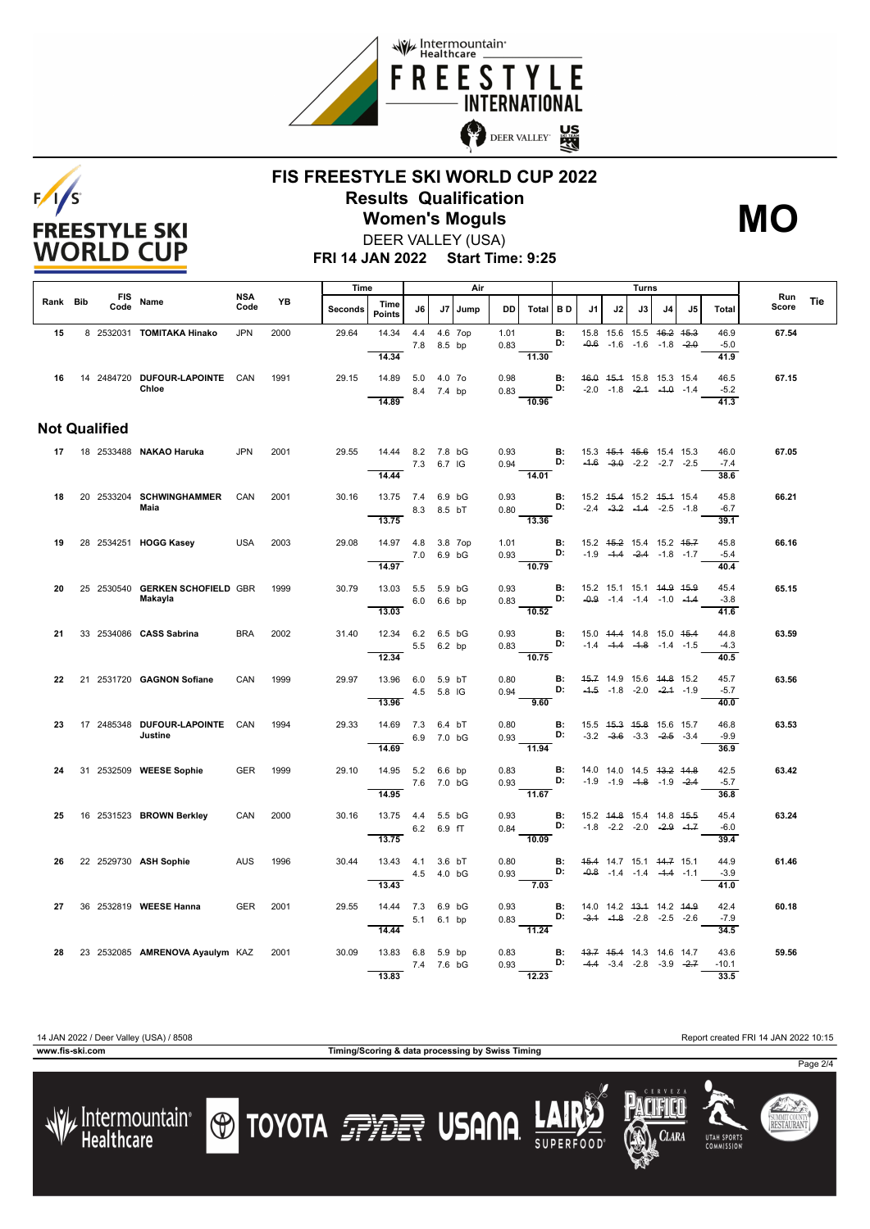



## **FIS FREESTYLE SKI WORLD CUP 2022 Results Qualification Women's Moguls MO**



**FRI 14 JAN 2022 Start Time: 9:25** DEER VALLEY (USA)

|          |  | <b>FIS</b><br>Code   | Name                                       |                    | YB   | Time           |                                         |            | Air        |           |              |                                                             |                                          |                                                | Turns |    |                                                                |    |                         |              |     |
|----------|--|----------------------|--------------------------------------------|--------------------|------|----------------|-----------------------------------------|------------|------------|-----------|--------------|-------------------------------------------------------------|------------------------------------------|------------------------------------------------|-------|----|----------------------------------------------------------------|----|-------------------------|--------------|-----|
| Rank Bib |  |                      |                                            | <b>NSA</b><br>Code |      | <b>Seconds</b> | Time<br><b>Points</b>                   | J6         |            | J7   Jump | <b>DD</b>    | Total BD                                                    |                                          | J1                                             | J2    | J3 | J4                                                             | J5 | Total                   | Run<br>Score | Tie |
| 15       |  |                      | 8 2532031 TOMITAKA Hinako                  | <b>JPN</b>         | 2000 | 29.64          | 14.34<br>14.34                          | 4.4        | 7.8 8.5 bp | 4.6 7op   | 1.01<br>0.83 | $-11.30$                                                    | <b>B:</b><br>D:                          |                                                |       |    | 15.8 15.6 15.5 46.2 45.3<br>$-0.6$ $-1.6$ $-1.6$ $-1.8$ $-2.0$ |    | 46.9<br>$-5.0$<br>41.9  | 67.54        |     |
|          |  |                      | 16 14 2484720 DUFOUR-LAPOINTE CAN<br>Chloe |                    | 1991 | 29.15          | 14.89<br>14.89                          | 5.0 4.0 70 | 8.4 7.4 bp |           | 0.98<br>0.83 | 10.96                                                       | <b>B:</b><br>D:                          | 46.0 45.4 15.8 15.3 15.4                       |       |    | $-2.0$ $-1.8$ $-2.4$ $-4.0$ $-1.4$                             |    | 46.5<br>$-5.2$<br>41.3  | 67.15        |     |
|          |  | <b>Not Qualified</b> |                                            |                    |      |                |                                         |            |            |           |              |                                                             |                                          |                                                |       |    |                                                                |    |                         |              |     |
|          |  |                      | 17  18  2533488 <b>NAKAO Haruka</b>        | <b>JPN</b>         | 2001 | 29.55          | 14.44 8.2 7.8 bG                        | 7.3 6.7 IG |            |           | 0.93         | <b>B:</b> 15.3 4 <del>5.1</del> 45.6 15.4 15.3<br>$0.94$ D: |                                          |                                                |       |    | $-4.6$ $-3.0$ $-2.2$ $-2.7$ $-2.5$                             |    | 46.0<br>$-7.4$          | 67.05        |     |
| 18       |  |                      | 20 2533204 SCHWINGHAMMER                   | CAN                | 2001 | 30.16          | 14.44<br>13.75 7.4 6.9 bG               |            |            |           | 0.93         | 14.01                                                       | <b>B:</b>                                | 15.2 45.4 15.2 45.4 15.4                       |       |    |                                                                |    | 38.6<br>45.8            | 66.21        |     |
|          |  |                      | Maia                                       |                    |      |                | 13.75                                   | 8.3 8.5 bT |            |           |              | $0.80$ D:<br>$\overline{13.36}$                             |                                          |                                                |       |    | $-2.4$ $-3.2$ $-4.4$ $-2.5$ $-1.8$                             |    | $-6.7$<br>39.1          |              |     |
| 19       |  |                      | 28 2534251 HOGG Kasey                      | <b>USA</b>         | 2003 | 29.08          | 14.97 4.8 3.8 7op<br>14.97              | 7.0 6.9 bG |            |           | 1.01         | 0.93 D: -1.9 -1.4 -2.4 -1.8 -1.7<br>$\frac{1}{10.79}$       | B:                                       | 15.2 <del>15.2</del> 15.4 15.2 <del>15.7</del> |       |    |                                                                |    | 45.8<br>$-5.4$<br>40.4  | 66.16        |     |
| 20       |  |                      | 25 2530540 GERKEN SCHOFIELD GBR<br>Makayla |                    | 1999 | 30.79          | 13.03 5.5 5.9 bG                        | 6.0 6.6 bp |            |           | 0.93<br>0.83 |                                                             | B:<br>D:                                 | 15.2 15.1 15.1 <del>14.9 15.9</del>            |       |    | $-0.9$ $-1.4$ $-1.4$ $-1.0$ $-4.4$                             |    | 45.4<br>$-3.8$          | 65.15        |     |
| -21      |  |                      | 33 2534086 CASS Sabrina                    | <b>BRA</b>         | 2002 | 31.40          | 13.03<br>12.34 6.2 6.5 bG               | 5.5 6.2 bp |            |           | 0.93         | 10.52<br>$0.83$ D:                                          | <b>B:</b>                                | 15.0 44.4 14.8 15.0 45.4                       |       |    | $-1.4$ $-4.4$ $-4.8$ $-1.4$ $-1.5$                             |    | 41.6<br>44.8<br>$-4.3$  | 63.59        |     |
| 22       |  |                      | 21 2531720 GAGNON Sofiane                  | CAN                | 1999 | 29.97          | 12.34<br>13.96 6.0 5.9 bT               |            | 4.5 5.8 IG |           | 0.80<br>0.94 | 10.75                                                       | <b>B:</b><br>D:                          | 45.7 14.9 15.6 44.8 15.2                       |       |    | $-4.5$ $-1.8$ $-2.0$ $-2.4$ $-1.9$                             |    | 40.5<br>45.7<br>$-5.7$  | 63.56        |     |
| 23       |  |                      | 17 2485348 DUFOUR-LAPOINTE CAN<br>Justine  |                    | 1994 | 29.33          | 13.96<br>14.69 7.3 6.4 bT               |            |            |           | 0.80         | 9.60                                                        | B:<br>D:                                 | 15.5 45.3 45.8 15.6 15.7                       |       |    |                                                                |    | 40.0<br>46.8            | 63.53        |     |
|          |  |                      |                                            |                    |      |                | 14.69                                   | 6.9 7.0 bG |            |           |              | 0.93<br>$-11.94$                                            |                                          |                                                |       |    | $-3.2$ $-3.6$ $-3.3$ $-2.5$ $-3.4$                             |    | $-9.9$<br>36.9          |              |     |
| 24       |  |                      | 31 2532509 WEESE Sophie                    | <b>GER</b>         | 1999 | 29.10          | 14.95 5.2 6.6 bp<br>14.95               | 7.6 7.0 bG |            |           | 0.83         | $0.93$ D:<br>11.67                                          | B:                                       | 14.0 14.0 14.5 <del>13.2 14.8</del>            |       |    | $-1.9$ $-1.9$ $-4.8$ $-1.9$ $-2.4$                             |    | 42.5<br>$-5.7$<br>36.8  | 63.42        |     |
| 25       |  |                      | 16 2531523 BROWN Berkley                   | CAN                | 2000 | 30.16          | 13.75  4.4  5.5 bG<br>13.75             | 6.2 6.9 fT |            |           |              | $0.93$ <b>B:</b><br>0.84 <b>D:</b><br>$\frac{1}{10.09}$     |                                          | 15.2    44.8    15.4    14.8    45.5           |       |    | $-1.8$ $-2.2$ $-2.0$ $-2.9$ $-1.7$                             |    | 45.4<br>$-6.0$<br>39.4  | 63.24        |     |
| 26       |  |                      | 22 2529730 ASH Sophie                      | <b>AUS</b>         | 1996 | 30.44          | 13.43  4.1  3.6 bT                      | 4.5 4.0 bG |            |           | 0.80<br>0.93 |                                                             | <b>B:</b> 45.4 14.7 15.1 44.7 15.1<br>D: |                                                |       |    | $-0.8$ $-1.4$ $-1.4$ $-4.4$ $-1.1$                             |    | 44.9<br>$-3.9$          | 61.46        |     |
| 27       |  |                      | 36 2532819 WEESE Hanna                     | <b>GER</b>         | 2001 | 29.55          | 13.43<br>14.44 7.3 6.9 bG               |            |            |           | 0.93         | $\frac{1}{7.03}$                                            | B:<br>D:                                 | 14.0 14.2 43.4 14.2 44.9                       |       |    | $-3.1$ $-1.8$ $-2.8$ $-2.5$ $-2.6$                             |    | 41.0<br>42.4<br>$-7.9$  | 60.18        |     |
|          |  |                      |                                            |                    |      |                | 14.44                                   | 5.1 6.1 bp |            |           | 0.83         | $\overline{11.24}$                                          |                                          |                                                |       |    |                                                                |    | 34.5                    |              |     |
| 28       |  |                      | 23 2532085 AMRENOVA Ayaulym KAZ            |                    | 2001 | 30.09          | 13.83 6.8 5.9 bp<br>7.4 7.6 bG<br>13.83 |            |            |           | 0.83         | 0.93 <b>D:</b> $-4.4$ $-3.4$ $-2.8$ $-3.9$ $-2.7$<br>12.23  | <b>B:</b> 43.7 45.4 14.3 14.6 14.7       |                                                |       |    |                                                                |    | 43.6<br>$-10.1$<br>33.5 | 59.56        |     |

**www.fis-ski.com Timing/Scoring & data processing by Swiss Timing**

14 JAN 2022 / Deer Valley (USA) / 8508 Report created FRI 14 JAN 2022 10:15





**O TOYOTA FILE USANA** 









Page 2/4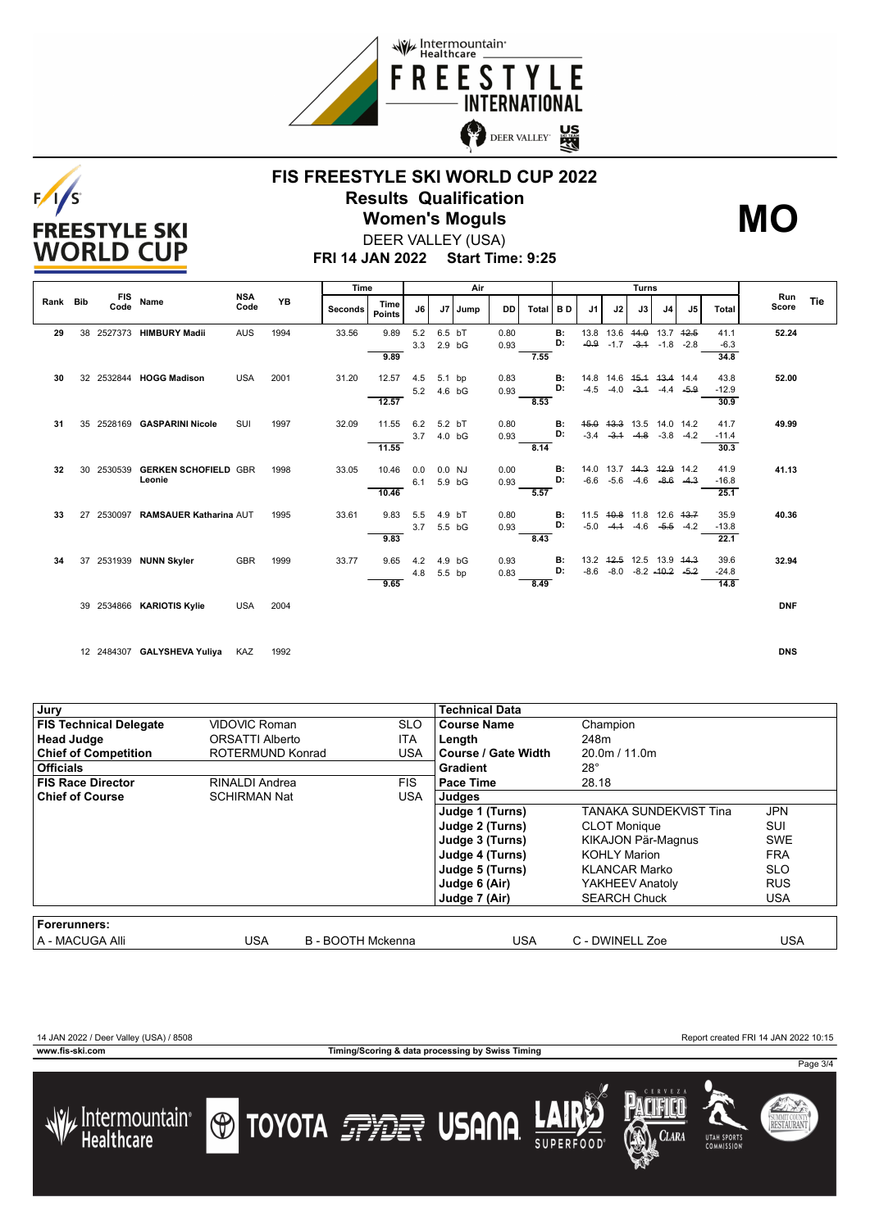



### **FIS FREESTYLE SKI WORLD CUP 2022 Results Qualification Women's Moguls MO**



**FRI 14 JAN 2022 Start Time: 9:25** DEER VALLEY (USA)

|                                |      |                    |                               |                |                       | Time  |       | Air  |          |        |           |      |           |        |                |                      |                     |              |         |            |  |
|--------------------------------|------|--------------------|-------------------------------|----------------|-----------------------|-------|-------|------|----------|--------|-----------|------|-----------|--------|----------------|----------------------|---------------------|--------------|---------|------------|--|
| <b>FIS</b><br>Rank Bib<br>Code | Name | <b>NSA</b><br>Code | <b>YB</b>                     | <b>Seconds</b> | Time<br><b>Points</b> | J6    | J7    | Jump | DD       | Total  | <b>BD</b> | J1   | J2        | J3     | J <sub>4</sub> | J5                   | Total               | Run<br>Score | Tie     |            |  |
| 29                             |      |                    | 38 2527373 HIMBURY Madii      | <b>AUS</b>     | 1994                  | 33.56 | 9.89  | 5.2  | 6.5 bT   |        | 0.80      |      | <b>B:</b> |        |                | 13.8 13.6 44.0 13.7  |                     | 12.5         | 41.1    | 52.24      |  |
|                                |      |                    |                               |                |                       |       |       | 3.3  | $2.9$ bG |        | 0.93      |      | D:        | $-0.9$ |                | $-1.7 -3.4$          | $-1.8$              | $-2.8$       | $-6.3$  |            |  |
|                                |      |                    |                               |                |                       |       | 9.89  |      |          |        |           | 7.55 |           |        |                |                      |                     |              | 34.8    |            |  |
| 30                             | 32   |                    | 2532844 HOGG Madison          | <b>USA</b>     | 2001                  | 31.20 | 12.57 | 4.5  | 5.1 bp   |        | 0.83      |      | <b>B:</b> | 14.8   |                |                      | 14.6 45.4 43.4 14.4 |              | 43.8    | 52.00      |  |
|                                |      |                    |                               |                |                       |       |       | 5.2  | 4.6 bG   |        | 0.93      |      | D:        | $-4.5$ | $-4.0$         | $-3.1$               | $-4.4$              | $-5.9$       | $-12.9$ |            |  |
|                                |      |                    |                               |                |                       |       | 12.57 |      |          |        |           | 8.53 |           |        |                |                      |                     |              | 30.9    |            |  |
| 31                             | 35   |                    | 2528169 GASPARINI Nicole      | SUI            | 1997                  | 32.09 | 11.55 | 6.2  | 5.2 bT   |        | 0.80      |      | В:        | 45.0   | 43.3           |                      | 13.5 14.0 14.2      |              | 41.7    | 49.99      |  |
|                                |      |                    |                               |                |                       |       |       | 3.7  | 4.0 bG   |        | 0.93      |      | D:        | $-3.4$ | $-3.1$         | $-4.8$               | $-3.8$              | $-4.2$       | $-11.4$ |            |  |
|                                |      |                    |                               |                |                       |       | 11.55 |      |          |        |           | 8.14 |           |        |                |                      |                     |              | 30.3    |            |  |
| 32                             | 30   |                    | 2530539 GERKEN SCHOFIELD GBR  |                | 1998                  | 33.05 | 10.46 | 0.0  | 0.0 NJ   |        | 0.00      |      | <b>B:</b> | 14.0   |                | 13.7 <del>14.3</del> | 42.9 14.2           |              | 41.9    | 41.13      |  |
|                                |      |                    | Leonie                        |                |                       |       |       | 6.1  | 5.9 bG   |        | 0.93      |      | D:        | $-6.6$ | -5.6           | $-4.6$               | $-8.6$              | $-4.3$       | $-16.8$ |            |  |
|                                |      |                    |                               |                |                       |       | 10.46 |      |          |        |           | 5.57 |           |        |                |                      |                     |              | 25.1    |            |  |
| 33                             | 27   | 2530097            | <b>RAMSAUER Katharina AUT</b> |                | 1995                  | 33.61 | 9.83  | 5.5  | 4.9 bT   |        | 0.80      |      | <b>B:</b> | 11.5   |                |                      | 40.8 11.8 12.6 43.7 |              | 35.9    | 40.36      |  |
|                                |      |                    |                               |                |                       |       |       | 3.7  |          | 5.5 bG | 0.93      |      | D:        | $-5.0$ |                | $-4.1 - 4.6$         | $-5.5$              | $-4.2$       | $-13.8$ |            |  |
|                                |      |                    |                               |                |                       |       | 9.83  |      |          |        |           | 8.43 |           |        |                |                      |                     |              | 22.1    |            |  |
| 34                             | 37   |                    | 2531939 NUNN Skyler           | GBR            | 1999                  | 33.77 | 9.65  | 4.2  | 4.9 bG   |        | 0.93      |      | <b>B:</b> |        | $13.2 +2.5$    |                      | 12.5 13.9 44.3      |              | 39.6    | 32.94      |  |
|                                |      |                    |                               |                |                       |       |       | 4.8  | 5.5 bp   |        | 0.83      |      | D:        | $-8.6$ | $-8.0$         |                      | $-8.2$ $-40.2$      | $-5.2$       | $-24.8$ |            |  |
|                                |      |                    |                               |                |                       |       | 9.65  |      |          |        |           | 8.49 |           |        |                |                      |                     |              | 14.8    |            |  |
|                                |      |                    | 39 2534866 KARIOTIS Kylie     | <b>USA</b>     | 2004                  |       |       |      |          |        |           |      |           |        |                |                      |                     |              |         | <b>DNF</b> |  |
|                                |      |                    |                               |                |                       |       |       |      |          |        |           |      |           |        |                |                      |                     |              |         |            |  |
|                                |      |                    |                               |                |                       |       |       |      |          |        |           |      |           |        |                |                      |                     |              |         |            |  |

12 2484307 **GALYSHEVA Yuliya** KAZ 1992 **DNS**

| Jury                          |                      |                   | <b>Technical Data</b> |                               |            |
|-------------------------------|----------------------|-------------------|-----------------------|-------------------------------|------------|
| <b>FIS Technical Delegate</b> | <b>VIDOVIC Roman</b> | <b>SLO</b>        | <b>Course Name</b>    | Champion                      |            |
| <b>Head Judge</b>             | ORSATTI Alberto      | <b>ITA</b>        | Length                | 248m                          |            |
| <b>Chief of Competition</b>   | ROTERMUND Konrad     | USA               | l Course / Gate Width | 20.0m / 11.0m                 |            |
| <b>Officials</b>              |                      |                   | Gradient              | $28^\circ$                    |            |
| <b>FIS Race Director</b>      | RINALDI Andrea       | <b>FIS</b>        | Pace Time             | 28.18                         |            |
| <b>Chief of Course</b>        | <b>SCHIRMAN Nat</b>  | <b>USA</b>        | Judges                |                               |            |
|                               |                      |                   | Judge 1 (Turns)       | <b>TANAKA SUNDEKVIST Tina</b> | <b>JPN</b> |
|                               |                      |                   | Judge 2 (Turns)       | <b>CLOT Monique</b>           | SUI        |
|                               |                      |                   | Judge 3 (Turns)       | KIKAJON Pär-Magnus            | <b>SWE</b> |
|                               |                      |                   | Judge 4 (Turns)       | <b>KOHLY Marion</b>           | <b>FRA</b> |
|                               |                      |                   | Judge 5 (Turns)       | <b>KLANCAR Marko</b>          | <b>SLO</b> |
|                               |                      |                   | Judge 6 (Air)         | YAKHEEV Anatoly               | <b>RUS</b> |
|                               |                      |                   | Judge 7 (Air)         | <b>SEARCH Chuck</b>           | <b>USA</b> |
|                               |                      |                   |                       |                               |            |
| Forerunners:                  |                      |                   |                       |                               |            |
| l A - MACUGA Alli             | USA                  | B - BOOTH Mckenna | <b>USA</b>            | C - DWINELL Zoe               | <b>USA</b> |

14 JAN 2022 / Deer Valley (USA) / 8508 Report created FRI 14 JAN 2022 10:15